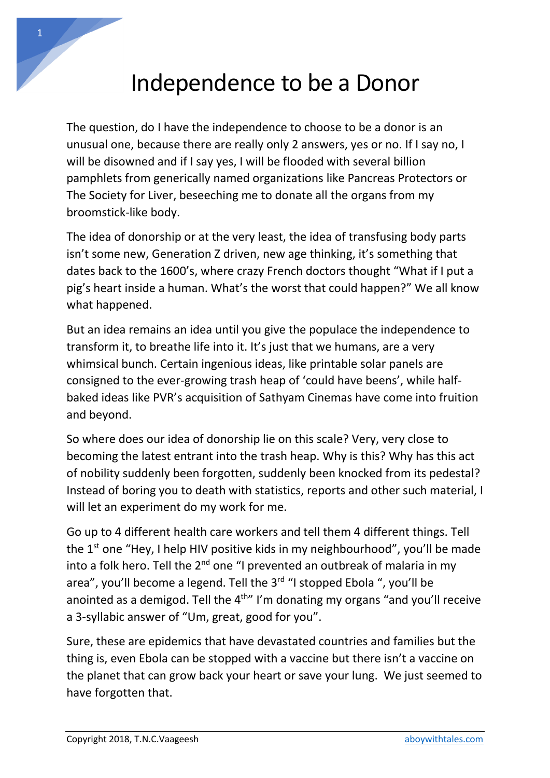## Independence to be a Donor

The question, do I have the independence to choose to be a donor is an unusual one, because there are really only 2 answers, yes or no. If I say no, I will be disowned and if I say yes, I will be flooded with several billion pamphlets from generically named organizations like Pancreas Protectors or The Society for Liver, beseeching me to donate all the organs from my broomstick-like body.

The idea of donorship or at the very least, the idea of transfusing body parts isn't some new, Generation Z driven, new age thinking, it's something that dates back to the 1600's, where crazy French doctors thought "What if I put a pig's heart inside a human. What's the worst that could happen?" We all know what happened.

But an idea remains an idea until you give the populace the independence to transform it, to breathe life into it. It's just that we humans, are a very whimsical bunch. Certain ingenious ideas, like printable solar panels are consigned to the ever-growing trash heap of 'could have beens', while halfbaked ideas like PVR's acquisition of Sathyam Cinemas have come into fruition and beyond.

So where does our idea of donorship lie on this scale? Very, very close to becoming the latest entrant into the trash heap. Why is this? Why has this act of nobility suddenly been forgotten, suddenly been knocked from its pedestal? Instead of boring you to death with statistics, reports and other such material, I will let an experiment do my work for me.

Go up to 4 different health care workers and tell them 4 different things. Tell the  $1<sup>st</sup>$  one "Hey, I help HIV positive kids in my neighbourhood", you'll be made into a folk hero. Tell the  $2^{nd}$  one "I prevented an outbreak of malaria in my area", you'll become a legend. Tell the 3<sup>rd</sup> "I stopped Ebola ", you'll be anointed as a demigod. Tell the  $4<sup>th</sup>$  I'm donating my organs "and you'll receive a 3-syllabic answer of "Um, great, good for you".

Sure, these are epidemics that have devastated countries and families but the thing is, even Ebola can be stopped with a vaccine but there isn't a vaccine on the planet that can grow back your heart or save your lung. We just seemed to have forgotten that.